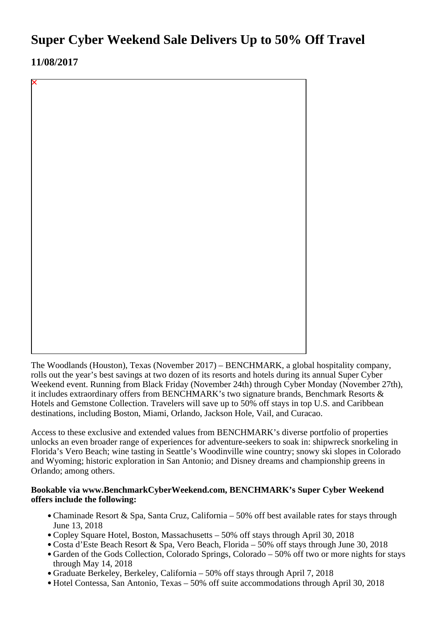# **Super Cyber Weekend Sale Delivers Up to 50% Off Travel**

**11/08/2017**

The Woodlands (Houston), Texas (November 2017) – BENCHMARK, a global hospitality company, rolls out the year's best savings at two dozen of its resorts and hotels during its annual Super Cyber Weekend event. Running from Black Friday (November 24th) through Cyber Monday (November 27th), it includes extraordinary offers from BENCHMARK's two signature brands, Benchmark Resorts & Hotels and Gemstone Collection. Travelers will save up to 50% off stays in top U.S. and Caribbean destinations, including Boston, Miami, Orlando, Jackson Hole, Vail, and Curacao.

Access to these exclusive and extended values from BENCHMARK's diverse portfolio of properties unlocks an even broader range of experiences for adventure-seekers to soak in: shipwreck snorkeling in Florida's Vero Beach; wine tasting in Seattle's Woodinville wine country; snowy ski slopes in Colorado and Wyoming; historic exploration in San Antonio; and Disney dreams and championship greens in Orlando; among others.

### **Bookable via www.BenchmarkCyberWeekend.com, BENCHMARK's Super Cyber Weekend offers include the following:**

- Chaminade Resort & Spa, Santa Cruz, California 50% off best available rates for stays through June 13, 2018
- Copley Square Hotel, Boston, Massachusetts 50% off stays through April 30, 2018
- Costa d'Este Beach Resort & Spa, Vero Beach, Florida 50% off stays through June 30, 2018
- Garden of the Gods Collection, Colorado Springs, Colorado 50% off two or more nights for stays through May 14, 2018
- Graduate Berkeley, Berkeley, California 50% off stays through April 7, 2018
- Hotel Contessa, San Antonio, Texas 50% off suite accommodations through April 30, 2018